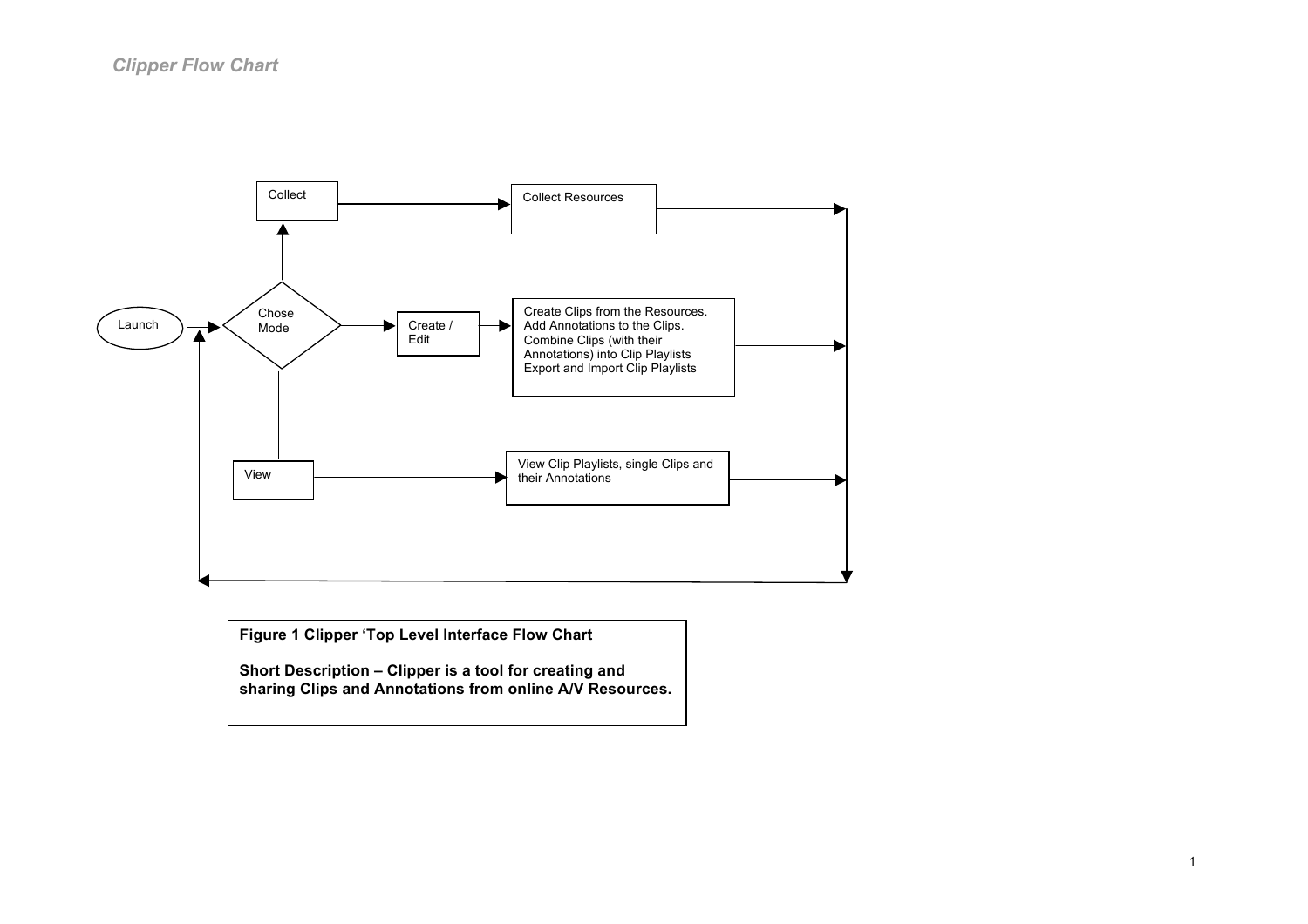

**Figure 1 Clipper 'Top Level Interface Flow Chart**

**Short Description – Clipper is a tool for creating and sharing Clips and Annotations from online A/V Resources.**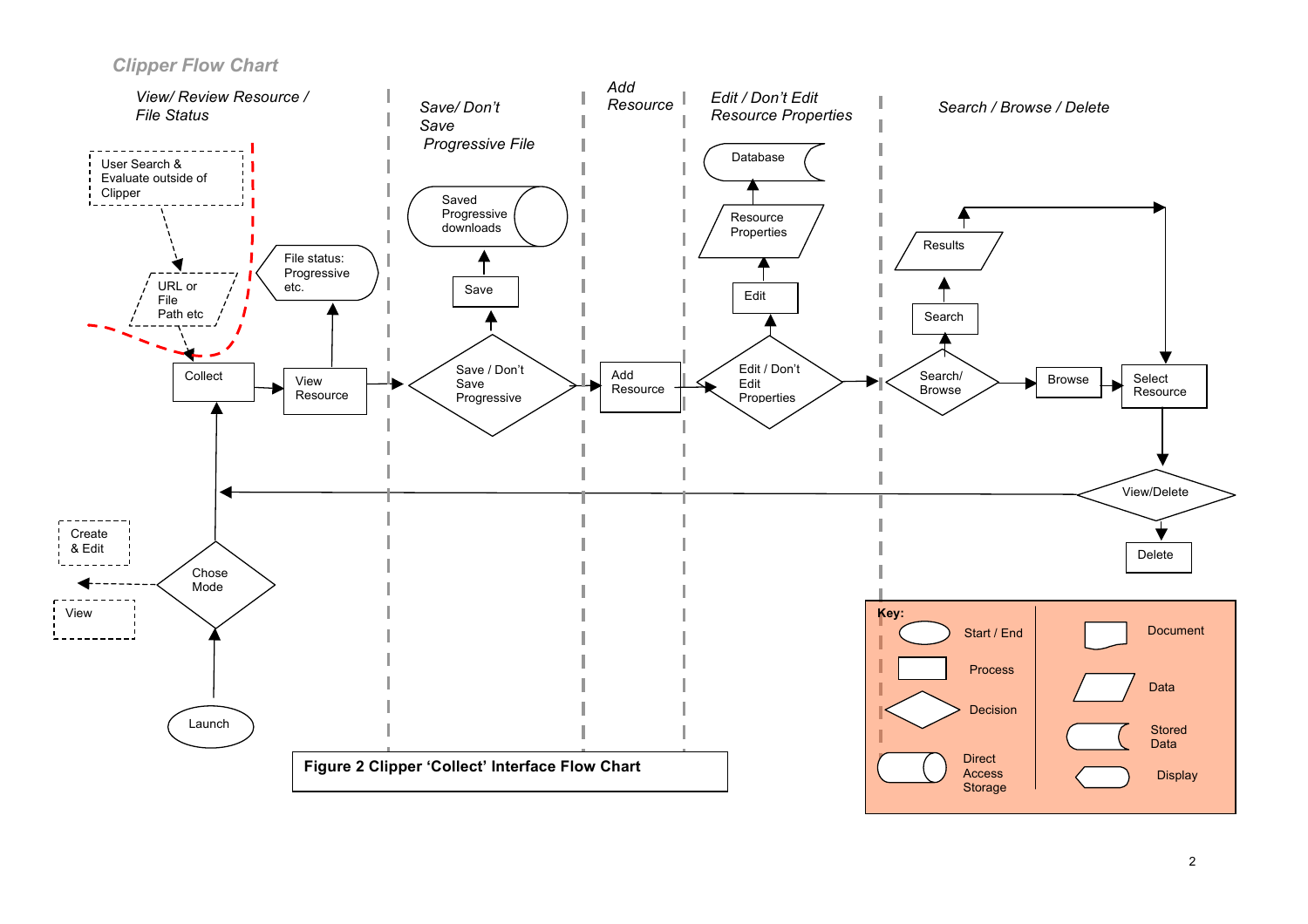*Clipper Flow Chart*

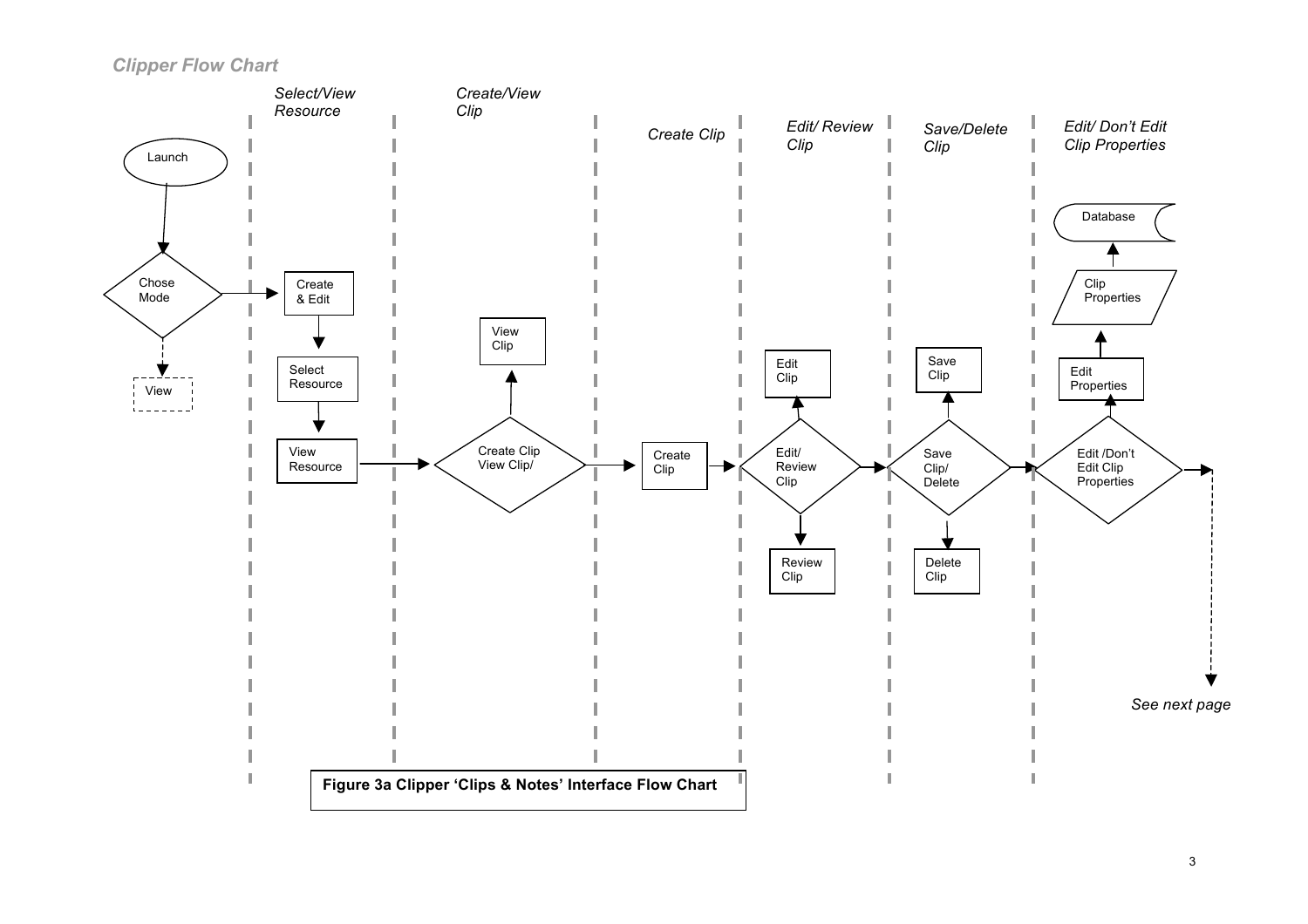*Clipper Flow Chart*

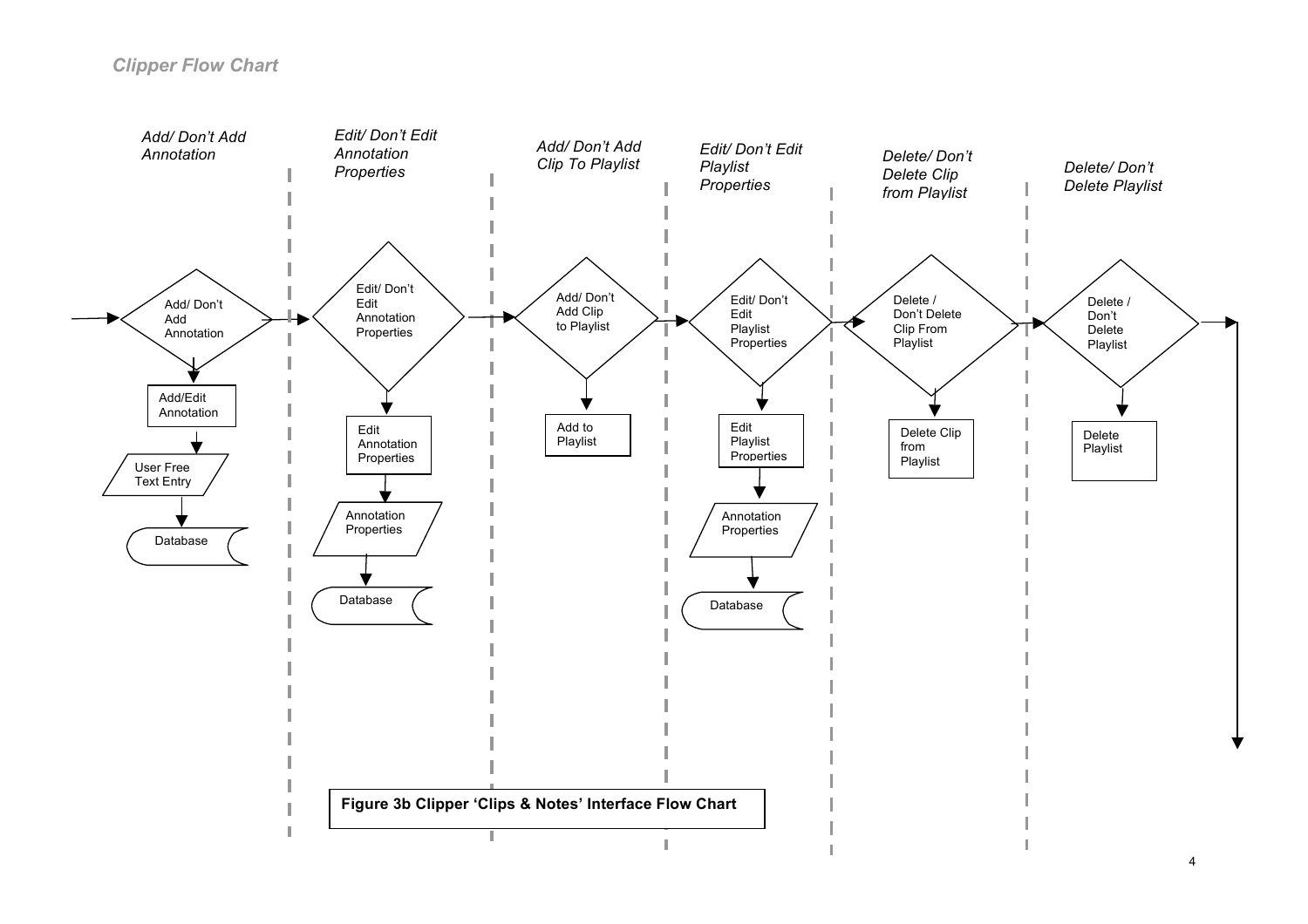